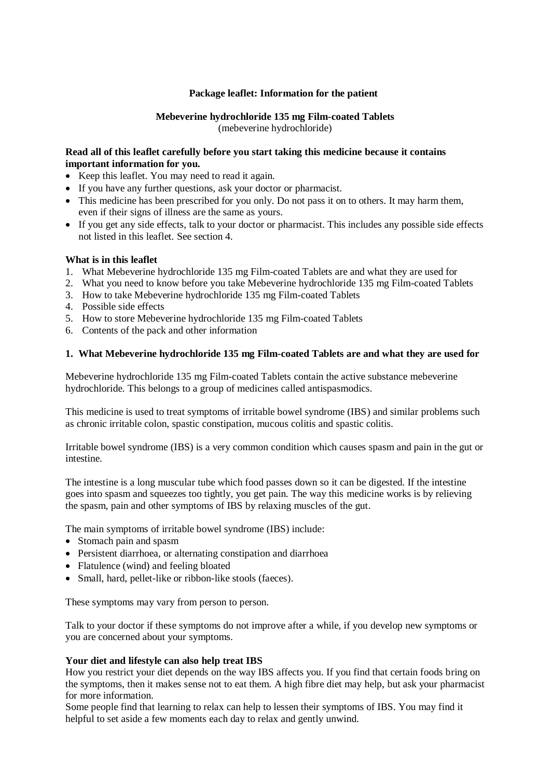# **Package leaflet: Information for the patient**

# **Mebeverine hydrochloride 135 mg Film-coated Tablets**

(mebeverine hydrochloride)

## **Read all of this leaflet carefully before you start taking this medicine because it contains important information for you.**

- Keep this leaflet. You may need to read it again.
- If you have any further questions, ask your doctor or pharmacist.
- This medicine has been prescribed for you only. Do not pass it on to others. It may harm them, even if their signs of illness are the same as yours.
- If you get any side effects, talk to your doctor or pharmacist. This includes any possible side effects not listed in this leaflet. See section 4.

#### **What is in this leaflet**

- 1. What Mebeverine hydrochloride 135 mg Film-coated Tablets are and what they are used for
- 2. What you need to know before you take Mebeverine hydrochloride 135 mg Film-coated Tablets
- 3. How to take Mebeverine hydrochloride 135 mg Film-coated Tablets
- 4. Possible side effects
- 5. How to store Mebeverine hydrochloride 135 mg Film-coated Tablets
- 6. Contents of the pack and other information

# **1. What Mebeverine hydrochloride 135 mg Film-coated Tablets are and what they are used for**

Mebeverine hydrochloride 135 mg Film-coated Tablets contain the active substance mebeverine hydrochloride. This belongs to a group of medicines called antispasmodics.

This medicine is used to treat symptoms of irritable bowel syndrome (IBS) and similar problems such as chronic irritable colon, spastic constipation, mucous colitis and spastic colitis.

Irritable bowel syndrome (IBS) is a very common condition which causes spasm and pain in the gut or intestine.

The intestine is a long muscular tube which food passes down so it can be digested. If the intestine goes into spasm and squeezes too tightly, you get pain. The way this medicine works is by relieving the spasm, pain and other symptoms of IBS by relaxing muscles of the gut.

The main symptoms of irritable bowel syndrome (IBS) include:

- Stomach pain and spasm
- Persistent diarrhoea, or alternating constipation and diarrhoea
- Flatulence (wind) and feeling bloated
- Small, hard, pellet-like or ribbon-like stools (faeces).

These symptoms may vary from person to person.

Talk to your doctor if these symptoms do not improve after a while, if you develop new symptoms or you are concerned about your symptoms.

#### **Your diet and lifestyle can also help treat IBS**

How you restrict your diet depends on the way IBS affects you. If you find that certain foods bring on the symptoms, then it makes sense not to eat them. A high fibre diet may help, but ask your pharmacist for more information.

Some people find that learning to relax can help to lessen their symptoms of IBS. You may find it helpful to set aside a few moments each day to relax and gently unwind.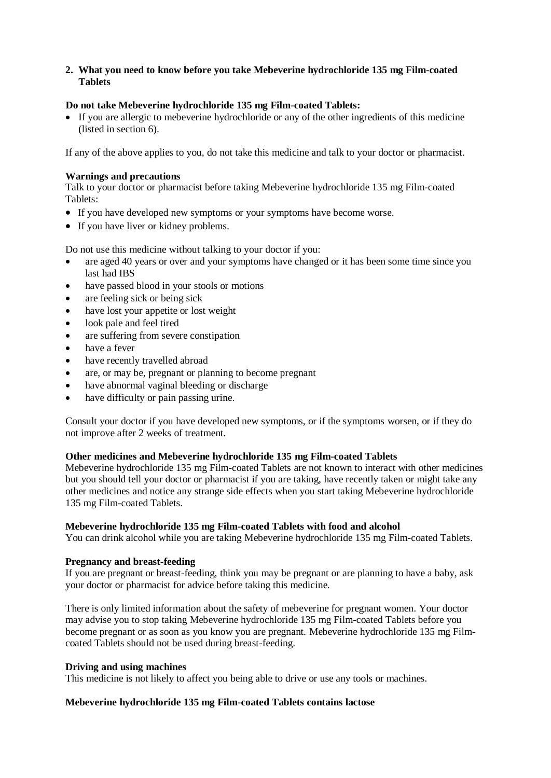# **2. What you need to know before you take Mebeverine hydrochloride 135 mg Film-coated Tablets**

# **Do not take Mebeverine hydrochloride 135 mg Film-coated Tablets:**

 If you are allergic to mebeverine hydrochloride or any of the other ingredients of this medicine (listed in section 6).

If any of the above applies to you, do not take this medicine and talk to your doctor or pharmacist.

# **Warnings and precautions**

Talk to your doctor or pharmacist before taking Mebeverine hydrochloride 135 mg Film-coated Tablets:

- If you have developed new symptoms or your symptoms have become worse.
- If you have liver or kidney problems.

Do not use this medicine without talking to your doctor if you:

- are aged 40 years or over and your symptoms have changed or it has been some time since you last had IBS
- have passed blood in your stools or motions
- are feeling sick or being sick
- have lost your appetite or lost weight
- look pale and feel tired
- are suffering from severe constipation
- have a fever
- have recently travelled abroad
- are, or may be, pregnant or planning to become pregnant
- have abnormal vaginal bleeding or discharge
- have difficulty or pain passing urine.

Consult your doctor if you have developed new symptoms, or if the symptoms worsen, or if they do not improve after 2 weeks of treatment.

# **Other medicines and Mebeverine hydrochloride 135 mg Film-coated Tablets**

Mebeverine hydrochloride 135 mg Film-coated Tablets are not known to interact with other medicines but you should tell your doctor or pharmacist if you are taking, have recently taken or might take any other medicines and notice any strange side effects when you start taking Mebeverine hydrochloride 135 mg Film-coated Tablets.

#### **Mebeverine hydrochloride 135 mg Film-coated Tablets with food and alcohol**

You can drink alcohol while you are taking Mebeverine hydrochloride 135 mg Film-coated Tablets.

#### **Pregnancy and breast-feeding**

If you are pregnant or breast-feeding, think you may be pregnant or are planning to have a baby, ask your doctor or pharmacist for advice before taking this medicine.

There is only limited information about the safety of mebeverine for pregnant women. Your doctor may advise you to stop taking Mebeverine hydrochloride 135 mg Film-coated Tablets before you become pregnant or as soon as you know you are pregnant. Mebeverine hydrochloride 135 mg Filmcoated Tablets should not be used during breast-feeding.

#### **Driving and using machines**

This medicine is not likely to affect you being able to drive or use any tools or machines.

#### **Mebeverine hydrochloride 135 mg Film-coated Tablets contains lactose**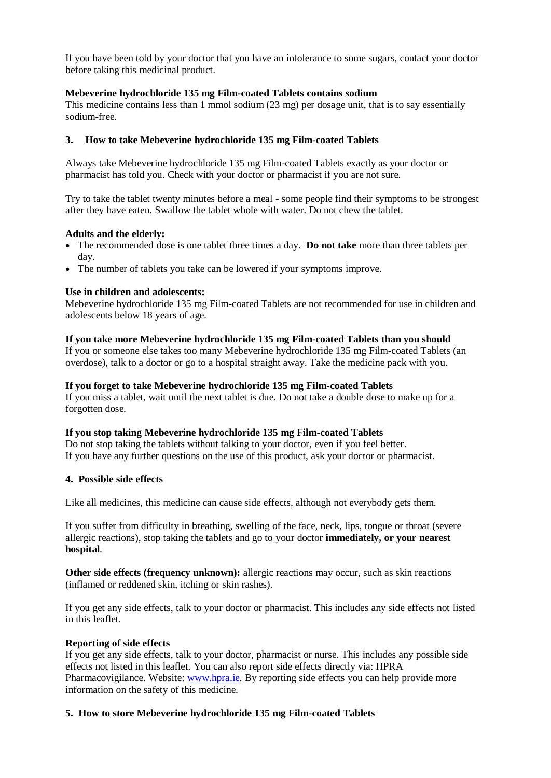If you have been told by your doctor that you have an intolerance to some sugars, contact your doctor before taking this medicinal product.

# **Mebeverine hydrochloride 135 mg Film-coated Tablets contains sodium**

This medicine contains less than 1 mmol sodium (23 mg) per dosage unit, that is to say essentially sodium-free.

# **3. How to take Mebeverine hydrochloride 135 mg Film-coated Tablets**

Always take Mebeverine hydrochloride 135 mg Film-coated Tablets exactly as your doctor or pharmacist has told you. Check with your doctor or pharmacist if you are not sure.

Try to take the tablet twenty minutes before a meal - some people find their symptoms to be strongest after they have eaten. Swallow the tablet whole with water. Do not chew the tablet.

#### **Adults and the elderly:**

- The recommended dose is one tablet three times a day. **Do not take** more than three tablets per day.
- The number of tablets you take can be lowered if your symptoms improve.

#### **Use in children and adolescents:**

Mebeverine hydrochloride 135 mg Film-coated Tablets are not recommended for use in children and adolescents below 18 years of age.

# **If you take more Mebeverine hydrochloride 135 mg Film-coated Tablets than you should**

If you or someone else takes too many Mebeverine hydrochloride 135 mg Film-coated Tablets (an overdose), talk to a doctor or go to a hospital straight away. Take the medicine pack with you.

# **If you forget to take Mebeverine hydrochloride 135 mg Film-coated Tablets**

If you miss a tablet, wait until the next tablet is due. Do not take a double dose to make up for a forgotten dose.

#### **If you stop taking Mebeverine hydrochloride 135 mg Film-coated Tablets**

Do not stop taking the tablets without talking to your doctor, even if you feel better. If you have any further questions on the use of this product, ask your doctor or pharmacist.

#### **4. Possible side effects**

Like all medicines, this medicine can cause side effects, although not everybody gets them.

If you suffer from difficulty in breathing, swelling of the face, neck, lips, tongue or throat (severe allergic reactions), stop taking the tablets and go to your doctor **immediately, or your nearest hospital**.

**Other side effects (frequency unknown):** allergic reactions may occur, such as skin reactions (inflamed or reddened skin, itching or skin rashes).

If you get any side effects, talk to your doctor or pharmacist. This includes any side effects not listed in this leaflet.

#### **Reporting of side effects**

If you get any side effects, talk to your doctor, pharmacist or nurse. This includes any possible side effects not listed in this leaflet. You can also report side effects directly via: HPRA Pharmacovigilance. Website: [www.hpra.ie.](http://www.hpra.ie/) By reporting side effects you can help provide more information on the safety of this medicine.

#### **5. How to store Mebeverine hydrochloride 135 mg Film-coated Tablets**